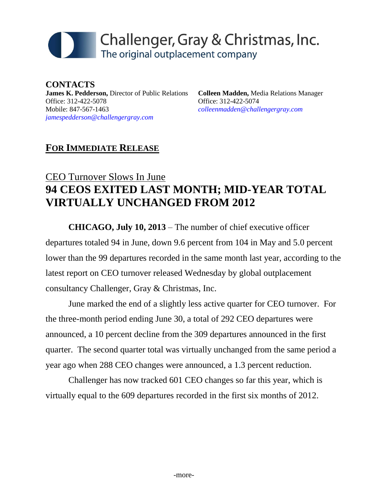# Challenger, Gray & Christmas, Inc. The original outplacement company

**CONTACTS James K. Pedderson,** Director of Public Relations Office: 312-422-5078 Mobile: 847-567-1463 *[jamespedderson@challengergray.com](mailto:jamespedderson@challengergray.com)*

**Colleen Madden,** Media Relations Manager Office: 312-422-5074 *[colleenmadden@challengergray.com](mailto:colleenmadden@challengergray.com)*

### **FOR IMMEDIATE RELEASE**

# CEO Turnover Slows In June **94 CEOS EXITED LAST MONTH; MID-YEAR TOTAL VIRTUALLY UNCHANGED FROM 2012**

**CHICAGO, July 10, 2013** – The number of chief executive officer departures totaled 94 in June, down 9.6 percent from 104 in May and 5.0 percent lower than the 99 departures recorded in the same month last year, according to the latest report on CEO turnover released Wednesday by global outplacement consultancy Challenger, Gray & Christmas, Inc.

June marked the end of a slightly less active quarter for CEO turnover. For the three-month period ending June 30, a total of 292 CEO departures were announced, a 10 percent decline from the 309 departures announced in the first quarter. The second quarter total was virtually unchanged from the same period a year ago when 288 CEO changes were announced, a 1.3 percent reduction.

Challenger has now tracked 601 CEO changes so far this year, which is virtually equal to the 609 departures recorded in the first six months of 2012.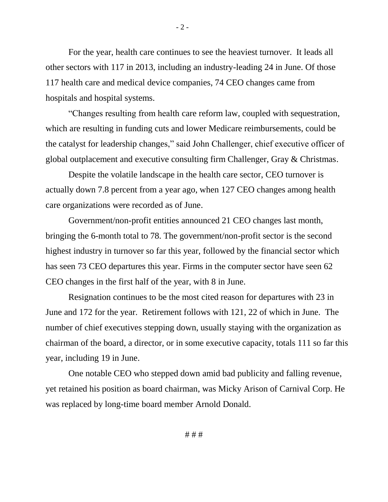For the year, health care continues to see the heaviest turnover. It leads all other sectors with 117 in 2013, including an industry-leading 24 in June. Of those 117 health care and medical device companies, 74 CEO changes came from hospitals and hospital systems.

"Changes resulting from health care reform law, coupled with sequestration, which are resulting in funding cuts and lower Medicare reimbursements, could be the catalyst for leadership changes," said John Challenger, chief executive officer of global outplacement and executive consulting firm Challenger, Gray & Christmas.

Despite the volatile landscape in the health care sector, CEO turnover is actually down 7.8 percent from a year ago, when 127 CEO changes among health care organizations were recorded as of June.

Government/non-profit entities announced 21 CEO changes last month, bringing the 6-month total to 78. The government/non-profit sector is the second highest industry in turnover so far this year, followed by the financial sector which has seen 73 CEO departures this year. Firms in the computer sector have seen 62 CEO changes in the first half of the year, with 8 in June.

Resignation continues to be the most cited reason for departures with 23 in June and 172 for the year. Retirement follows with 121, 22 of which in June. The number of chief executives stepping down, usually staying with the organization as chairman of the board, a director, or in some executive capacity, totals 111 so far this year, including 19 in June.

One notable CEO who stepped down amid bad publicity and falling revenue, yet retained his position as board chairman, was Micky Arison of Carnival Corp. He was replaced by long-time board member Arnold Donald.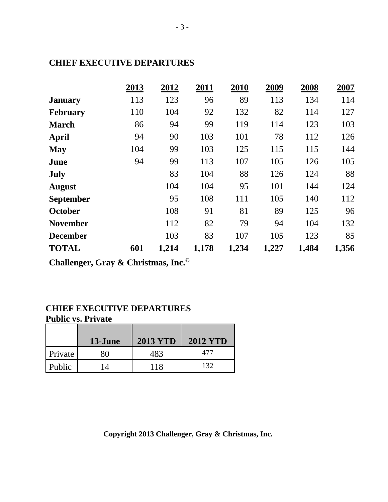#### **CHIEF EXECUTIVE DEPARTURES**

|                  | 2013 | 2012  | 2011  | 2010  | 2009  | 2008  | 2007  |
|------------------|------|-------|-------|-------|-------|-------|-------|
| <b>January</b>   | 113  | 123   | 96    | 89    | 113   | 134   | 114   |
| February         | 110  | 104   | 92    | 132   | 82    | 114   | 127   |
| <b>March</b>     | 86   | 94    | 99    | 119   | 114   | 123   | 103   |
| April            | 94   | 90    | 103   | 101   | 78    | 112   | 126   |
| <b>May</b>       | 104  | 99    | 103   | 125   | 115   | 115   | 144   |
| June             | 94   | 99    | 113   | 107   | 105   | 126   | 105   |
| <b>July</b>      |      | 83    | 104   | 88    | 126   | 124   | 88    |
| <b>August</b>    |      | 104   | 104   | 95    | 101   | 144   | 124   |
| <b>September</b> |      | 95    | 108   | 111   | 105   | 140   | 112   |
| October          |      | 108   | 91    | 81    | 89    | 125   | 96    |
| <b>November</b>  |      | 112   | 82    | 79    | 94    | 104   | 132   |
| <b>December</b>  |      | 103   | 83    | 107   | 105   | 123   | 85    |
| <b>TOTAL</b>     | 601  | 1,214 | 1,178 | 1,234 | 1,227 | 1,484 | 1,356 |

**Challenger, Gray & Christmas, Inc.©**

#### **CHIEF EXECUTIVE DEPARTURES Public vs. Private**

|         | 13-June        | <b>2013 YTD</b> | <b>2012 YTD</b> |
|---------|----------------|-----------------|-----------------|
| Private | x۱             | 483             | 477             |
| Public  | $\overline{4}$ | 118             | 132             |

**Copyright 2013 Challenger, Gray & Christmas, Inc.**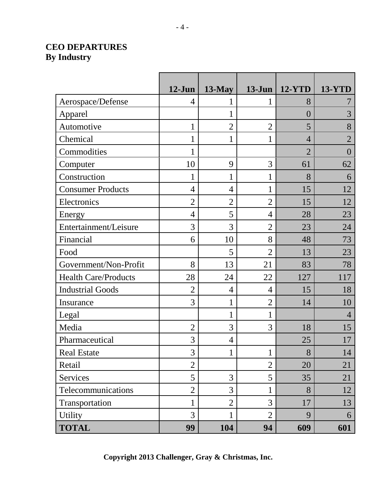### **CEO DEPARTURES By Industry**

|                             | $12-Jun$       | $13$ -May      | $13$ -Jun      | <b>12-YTD</b>  | <b>13-YTD</b>  |
|-----------------------------|----------------|----------------|----------------|----------------|----------------|
| Aerospace/Defense           | 4              |                | 1              | 8              |                |
| Apparel                     |                | 1              |                | $\overline{0}$ | 3              |
| Automotive                  | $\mathbf{1}$   | $\overline{2}$ | $\overline{2}$ | 5              | 8              |
| Chemical                    | 1              | 1              | 1              | $\overline{4}$ | $\overline{2}$ |
| Commodities                 | $\mathbf{1}$   |                |                | $\overline{2}$ | $\theta$       |
| Computer                    | 10             | 9              | 3              | 61             | 62             |
| Construction                | $\mathbf{1}$   | 1              | $\mathbf 1$    | 8              | 6              |
| <b>Consumer Products</b>    | $\overline{4}$ | 4              | $\mathbf 1$    | 15             | 12             |
| Electronics                 | $\overline{2}$ | $\overline{2}$ | $\overline{2}$ | 15             | 12             |
| Energy                      | $\overline{4}$ | 5              | $\overline{4}$ | 28             | 23             |
| Entertainment/Leisure       | 3              | 3              | $\overline{2}$ | 23             | 24             |
| Financial                   | 6              | 10             | 8              | 48             | 73             |
| Food                        |                | 5              | $\overline{2}$ | 13             | 23             |
| Government/Non-Profit       | 8              | 13             | 21             | 83             | 78             |
| <b>Health Care/Products</b> | 28             | 24             | 22             | 127            | 117            |
| <b>Industrial Goods</b>     | $\overline{2}$ | $\overline{4}$ | $\overline{4}$ | 15             | 18             |
| Insurance                   | 3              | 1              | $\overline{2}$ | 14             | 10             |
| Legal                       |                | 1              | 1              |                | $\overline{4}$ |
| Media                       | $\overline{2}$ | 3              | 3              | 18             | 15             |
| Pharmaceutical              | 3              | $\overline{4}$ |                | 25             | 17             |
| <b>Real Estate</b>          | 3              | 1              | 1              | 8              | 14             |
| Retail                      | $\overline{2}$ |                | $\overline{2}$ | 20             | 21             |
| Services                    | 5              | 3              | 5              | 35             | 21             |
| Telecommunications          | $\overline{2}$ | 3              | $\mathbf{1}$   | 8              | 12             |
| Transportation              | $\mathbf{1}$   | $\overline{2}$ | 3              | 17             | 13             |
| <b>Utility</b>              | 3              | $\mathbf 1$    | $\overline{2}$ | 9              | 6              |
| <b>TOTAL</b>                | 99             | 104            | 94             | 609            | 601            |

**Copyright 2013 Challenger, Gray & Christmas, Inc.**